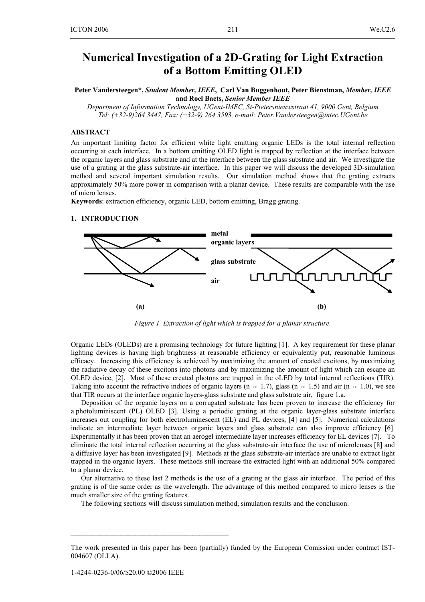# **Numerical Investigation of a 2D-Grating for Light Extraction of a Bottom Emitting OLED**

**Peter Vandersteegen\*,** *Student Member, IEEE***, Carl Van Buggenhout, Peter Bienstman,** *Member, IEEE*  **and Roel Baets,** *Senior Member IEEE* 

*Department of Information Technology, UGent-IMEC, St-Pietersnieuwstraat 41, 9000 Gent, Belgium Tel: (+32-9)264 3447, Fax: (+32-9) 264 3593, e-mail: Peter.Vandersteegen@intec.UGent.be* 

## **ABSTRACT**

An important limiting factor for efficient white light emitting organic LEDs is the total internal reflection occurring at each interface. In a bottom emitting OLED light is trapped by reflection at the interface between the organic layers and glass substrate and at the interface between the glass substrate and air. We investigate the use of a grating at the glass substrate-air interface. In this paper we will discuss the developed 3D-simulation method and several important simulation results. Our simulation method shows that the grating extracts approximately 50% more power in comparison with a planar device. These results are comparable with the use of micro lenses.

**Keywords**: extraction efficiency, organic LED, bottom emitting, Bragg grating.

## **1. INTRODUCTION**



*Figure 1. Extraction of light which is trapped for a planar structure.* 

Organic LEDs (OLEDs) are a promising technology for future lighting [1]. A key requirement for these planar lighting devices is having high brightness at reasonable efficiency or equivalently put, reasonable luminous efficacy. Increasing this efficiency is achieved by maximizing the amount of created excitons, by maximizing the radiative decay of these excitons into photons and by maximizing the amount of light which can escape an OLED device, [2]. Most of these created photons are trapped in the oLED by total internal reflections (TIR). Taking into account the refractive indices of organic layers (n  $\approx$  1.7), glass (n  $\approx$  1.5) and air (n  $\approx$  1.0), we see that TIR occurs at the interface organic layers-glass substrate and glass substrate air, figure 1.a.

Deposition of the organic layers on a corrugated substrate has been proven to increase the efficiency for a photoluminiscent (PL) OLED [3]. Using a periodic grating at the organic layer-glass substrate interface increases out coupling for both electroluminescent (EL) and PL devices, [4] and [5]. Numerical calculations indicate an intermediate layer between organic layers and glass substrate can also improve efficiency [6]. Experimentally it has been proven that an aerogel intermediate layer increases efficiency for EL devices [7]. To eliminate the total internal reflection occurring at the glass substrate-air interface the use of microlenses [8] and a diffusive layer has been investigated [9]. Methods at the glass substrate-air interface are unable to extract light trapped in the organic layers. These methods still increase the extracted light with an additional 50% compared to a planar device.

Our alternative to these last 2 methods is the use of a grating at the glass air interface. The period of this grating is of the same order as the wavelength. The advantage of this method compared to micro lenses is the much smaller size of the grating features.

The following sections will discuss simulation method, simulation results and the conclusion.

⎯⎯⎯⎯⎯⎯⎯⎯⎯⎯⎯⎯⎯⎯⎯⎯⎯⎯⎯⎯⎯⎯

The work presented in this paper has been (partially) funded by the European Comission under contract IST-004607 (OLLA).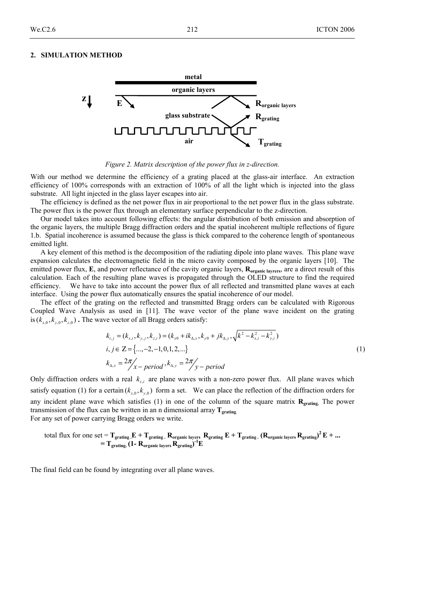#### **2. SIMULATION METHOD**



*Figure 2. Matrix description of the power flux in z-direction.* 

With our method we determine the efficiency of a grating placed at the glass-air interface. An extraction efficiency of 100% corresponds with an extraction of 100% of all the light which is injected into the glass substrate. All light injected in the glass layer escapes into air.

The efficiency is defined as the net power flux in air proportional to the net power flux in the glass substrate. The power flux is the power flux through an elementary surface perpendicular to the z-direction.

Our model takes into account following effects: the angular distribution of both emission and absorption of the organic layers, the multiple Bragg diffraction orders and the spatial incoherent multiple reflections of figure 1.b. Spatial incoherence is assumed because the glass is thick compared to the coherence length of spontaneous emitted light.

A key element of this method is the decomposition of the radiating dipole into plane waves. This plane wave expansion calculates the electromagnetic field in the micro cavity composed by the organic layers [10]. The emitted power flux, **E**, and power reflectance of the cavity organic layers,  $\mathbf{R}_{\text{organic layers}}$ , are a direct result of this calculation. Each of the resulting plane waves is propagated through the OLED structure to find the required efficiency. We have to take into account the power flux of all reflected and transmitted plane waves at each interface. Using the power flux automatically ensures the spatial incoherence of our model.

The effect of the grating on the reflected and transmitted Bragg orders can be calculated with Rigorous Coupled Wave Analysis as used in [11]. The wave vector of the plane wave incident on the grating is  $(k_{y,0}, k_{y,0}, k_{z,0})$ . The wave vector of all Bragg orders satisfy:

$$
k_{i,j} = (k_{x,i}, k_{y,j}, k_{z,i}) = (k_{x0} + ik_{\Delta,x}, k_{y0} + jk_{\Delta,y}, \sqrt{k^2 - k_{x,i}^2 - k_{y,i}^2})
$$
  
\n
$$
i, j \in \mathbb{Z} = \{..., -2, -1, 0, 1, 2, ...\}
$$
  
\n
$$
k_{\Delta,x} = 2\pi / x - period, k_{\Delta,y} = 2\pi / y - period
$$
\n(1)

Only diffraction orders with a real  $k_{i,j}$  are plane waves with a non-zero power flux. All plane waves which satisfy equation (1) for a certain  $(k_{y,0}, k_{y,0})$  form a set. We can place the reflection of the diffraction orders for any incident plane wave which satisfies (1) in one of the column of the square matrix **Rgrating.** The power transmission of the flux can be written in an n dimensional array **Tgrating**. For any set of power carrying Bragg orders we write.

total flux for one set = 
$$
T_{grating}
$$
,  $E + T_{grating}$ ,  $R_{organic layers}$ ,  $R_{grating}$ ,  $E + T_{grating}$ ,  $(R_{organic layers}$ ,  $R_{grating})^2 E + ... = T_{grating}$ ,  $(1 - R_{organic layers}$ ,  $R_{grating})^{-1}E$ 

The final field can be found by integrating over all plane waves.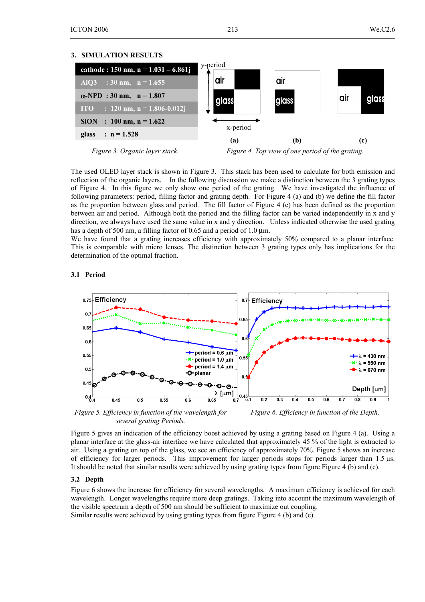### **3. SIMULATION RESULTS**





*Figure 4. Top view of one period of the grating.* 

The used OLED layer stack is shown in Figure 3. This stack has been used to calculate for both emission and reflection of the organic layers. In the following discussion we make a distinction between the 3 grating types of Figure 4. In this figure we only show one period of the grating. We have investigated the influence of following parameters: period, filling factor and grating depth. For Figure 4 (a) and (b) we define the fill factor as the proportion between glass and period. The fill factor of Figure 4 (c) has been defined as the proportion between air and period. Although both the period and the filling factor can be varied independently in x and y direction, we always have used the same value in x and y direction. Unless indicated otherwise the used grating has a depth of 500 nm, a filling factor of 0.65 and a period of 1.0  $\mu$ m.

We have found that a grating increases efficiency with approximately 50% compared to a planar interface. This is comparable with micro lenses. The distinction between 3 grating types only has implications for the determination of the optimal fraction.

## **3.1 Period**



*Figure 5. Efficiency in function of the wavelength for several grating Periods.*

*Figure 6. Efficiency in function of the Depth.*

Figure 5 gives an indication of the efficiency boost achieved by using a grating based on Figure 4 (a). Using a planar interface at the glass-air interface we have calculated that approximately 45 % of the light is extracted to air. Using a grating on top of the glass, we see an efficiency of approximately 70%. Figure 5 shows an increase of efficiency for larger periods. This improvement for larger periods stops for periods larger than 1.5 µs. It should be noted that similar results were achieved by using grating types from figure Figure 4 (b) and (c).

# **3.2 Depth**

Figure 6 shows the increase for efficiency for several wavelengths. A maximum efficiency is achieved for each wavelength. Longer wavelengths require more deep gratings. Taking into account the maximum wavelength of the visible spectrum a depth of 500 nm should be sufficient to maximize out coupling. Similar results were achieved by using grating types from figure Figure 4 (b) and (c).